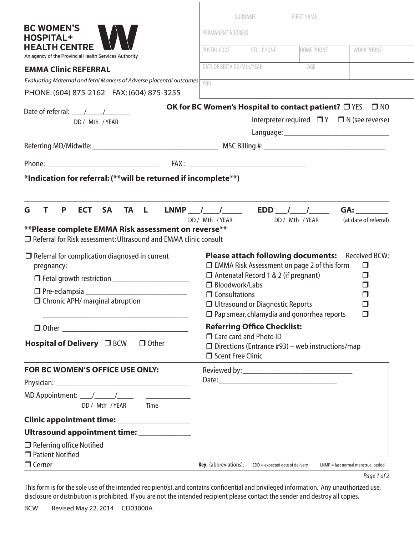|                                                                                                                                                | SURNAME                                                                                      |                                                                                                                                                  | <b>FIRST NAME</b>                                                                                             |                            |  |  |
|------------------------------------------------------------------------------------------------------------------------------------------------|----------------------------------------------------------------------------------------------|--------------------------------------------------------------------------------------------------------------------------------------------------|---------------------------------------------------------------------------------------------------------------|----------------------------|--|--|
| <b>BC WOMEN'S</b><br><b>HOSPITAL+</b>                                                                                                          | PERMANENT ADDRESS                                                                            |                                                                                                                                                  |                                                                                                               |                            |  |  |
| <b>HEALTH CENTRE</b><br>An agency of the Provincial Health Services Authority                                                                  | POSTAL CODE                                                                                  | <b>CELL PHONE</b>                                                                                                                                | <b>HOME PHONE</b>                                                                                             | <b>WORK PHONE</b>          |  |  |
| <b>EMMA Clinic REFERRAL</b>                                                                                                                    | DATE OF BIRTH DD/Mth/YEAR<br>AGE                                                             |                                                                                                                                                  |                                                                                                               |                            |  |  |
| Evaluating Maternal and fetal Markers of Adverse placental outcomes                                                                            | PHN                                                                                          |                                                                                                                                                  |                                                                                                               |                            |  |  |
| PHONE: (604) 875-2162 FAX: (604) 875-3255                                                                                                      |                                                                                              |                                                                                                                                                  |                                                                                                               |                            |  |  |
| Date of referral: $\frac{1}{\sqrt{1-\frac{1}{2}}}\frac{1}{\sqrt{1-\frac{1}{2}}}}$                                                              | <b>OK for BC Women's Hospital to contact patient?</b> ON                                     |                                                                                                                                                  |                                                                                                               | $\square$ NO               |  |  |
| DD/ Mth / YEAR                                                                                                                                 |                                                                                              |                                                                                                                                                  | Interpreter required $\Box Y$ $\Box N$ (see reverse)                                                          |                            |  |  |
|                                                                                                                                                |                                                                                              |                                                                                                                                                  |                                                                                                               |                            |  |  |
|                                                                                                                                                |                                                                                              |                                                                                                                                                  |                                                                                                               |                            |  |  |
|                                                                                                                                                |                                                                                              |                                                                                                                                                  |                                                                                                               |                            |  |  |
| *Indication for referral: (** will be returned if incomplete**)                                                                                |                                                                                              |                                                                                                                                                  |                                                                                                               |                            |  |  |
|                                                                                                                                                |                                                                                              |                                                                                                                                                  |                                                                                                               |                            |  |  |
| $\Box$ Referral for Risk assessment: Ultrasound and EMMA clinic consult<br>$\Box$ Referral for complication diagnosed in current<br>pregnancy: | $\Box$ Antenatal Record 1 & 2 (if pregnant)<br>$\Box$ Bloodwork/Labs<br>$\Box$ Consultations |                                                                                                                                                  | <b>Please attach following documents:</b> Received BCW:<br>$\Box$ EMMA Risk Assessment on page 2 of this form | $\Box$<br>$\Box$<br>□<br>П |  |  |
| $\Box$ Chronic APH/ marginal abruption                                                                                                         | □ Ultrasound or Diagnostic Reports                                                           | $\Box$                                                                                                                                           |                                                                                                               |                            |  |  |
| the control of the control of the control of the control of the control of the control of                                                      |                                                                                              |                                                                                                                                                  | $\Box$ Pap smear, chlamydia and gonorrhea reports                                                             | $\Box$                     |  |  |
| Hospital of Delivery □ BCW □ Other                                                                                                             |                                                                                              | <b>Referring Office Checklist:</b><br>□ Care card and Photo ID<br>$\Box$ Directions (Entrance #93) – web instructions/map<br>□ Scent Free Clinic |                                                                                                               |                            |  |  |
| FOR BC WOMEN'S OFFICE USE ONLY:                                                                                                                |                                                                                              |                                                                                                                                                  |                                                                                                               |                            |  |  |
|                                                                                                                                                |                                                                                              |                                                                                                                                                  |                                                                                                               |                            |  |  |
| MD Appointment: $\frac{1}{\sqrt{1-\frac{1}{2}}}\sqrt{1-\frac{1}{2}}$<br>DD / Mth / YEAR Time                                                   |                                                                                              |                                                                                                                                                  |                                                                                                               |                            |  |  |
| Clinic appointment time: __________________                                                                                                    |                                                                                              |                                                                                                                                                  |                                                                                                               |                            |  |  |
| Ultrasound appointment time: ___________                                                                                                       |                                                                                              |                                                                                                                                                  |                                                                                                               |                            |  |  |
| $\Box$ Referring office Notified                                                                                                               |                                                                                              |                                                                                                                                                  |                                                                                                               |                            |  |  |
| $\Box$ Patient Notified                                                                                                                        |                                                                                              |                                                                                                                                                  |                                                                                                               |                            |  |  |

| Page 1 of 2 |  |  |
|-------------|--|--|
|-------------|--|--|

This form is for the sole use of the intended recipient(s). and contains confidential and privileged information. Any unauthorized use, disclosure or distribution is prohibited. If you are not the intended recipient please contact the sender and destroy all copies.